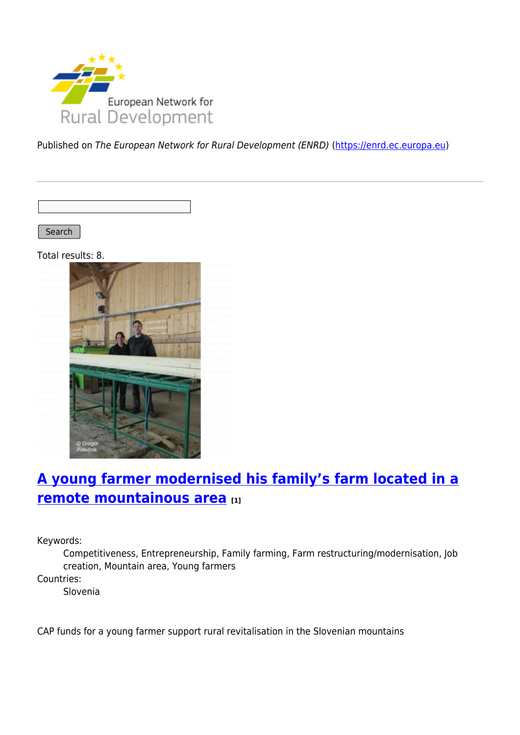

Published on The European Network for Rural Development (ENRD) [\(https://enrd.ec.europa.eu](https://enrd.ec.europa.eu))

Search

Total results: 8.



# **[A young farmer modernised his family's farm located in a](https://enrd.ec.europa.eu/projects-practice/young-farmer-modernised-his-familys-farm-located-remote-mountainous-area_en) [remote mountainous area](https://enrd.ec.europa.eu/projects-practice/young-farmer-modernised-his-familys-farm-located-remote-mountainous-area_en) [1]**

Keywords:

Competitiveness, Entrepreneurship, Family farming, Farm restructuring/modernisation, Job creation, Mountain area, Young farmers

Countries:

Slovenia

CAP funds for a young farmer support rural revitalisation in the Slovenian mountains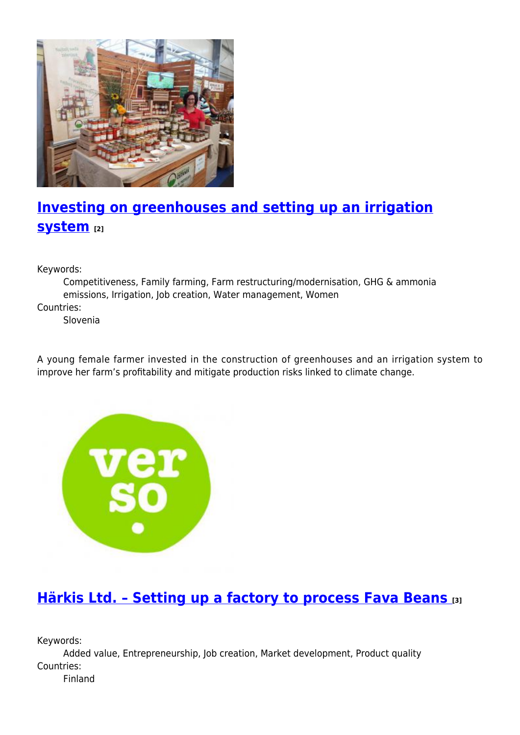

# **[Investing on greenhouses and setting up an irrigation](https://enrd.ec.europa.eu/projects-practice/investing-greenhouses-and-setting-irrigation-system_en) [system](https://enrd.ec.europa.eu/projects-practice/investing-greenhouses-and-setting-irrigation-system_en) [2]**

Keywords:

Competitiveness, Family farming, Farm restructuring/modernisation, GHG & ammonia emissions, Irrigation, Job creation, Water management, Women

Countries:

Slovenia

A young female farmer invested in the construction of greenhouses and an irrigation system to improve her farm's profitability and mitigate production risks linked to climate change.



## **[Härkis Ltd. – Setting up a factory to process Fava Beans](https://enrd.ec.europa.eu/projects-practice/harkis-ltd-setting-factory-process-fava-beans_en) [3]**

Keywords:

Added value, Entrepreneurship, Job creation, Market development, Product quality Countries:

Finland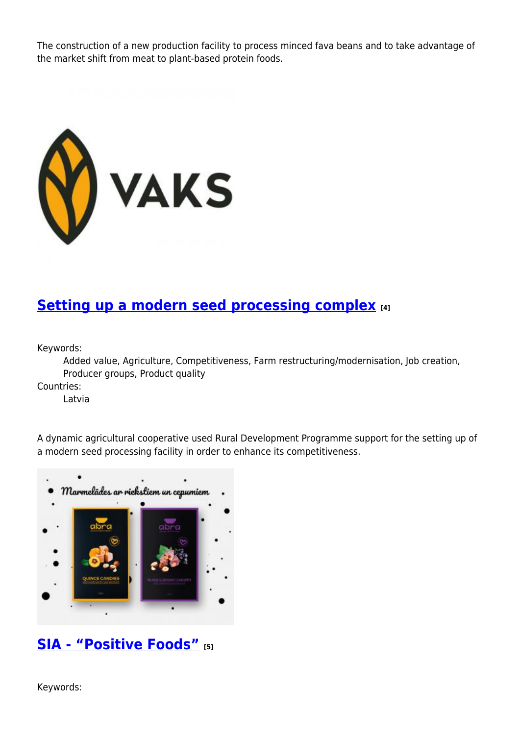The construction of a new production facility to process minced fava beans and to take advantage of the market shift from meat to plant-based protein foods.



#### **[Setting up a modern seed processing complex](https://enrd.ec.europa.eu/projects-practice/setting-modern-seed-processing-complex_en) [4]**

Keywords:

Added value, Agriculture, Competitiveness, Farm restructuring/modernisation, Job creation, Producer groups, Product quality

Countries:

Latvia

A dynamic agricultural cooperative used Rural Development Programme support for the setting up of a modern seed processing facility in order to enhance its competitiveness.



### **[SIA - "Positive Foods"](https://enrd.ec.europa.eu/projects-practice/sia-positive-foods_en) [5]**

Keywords: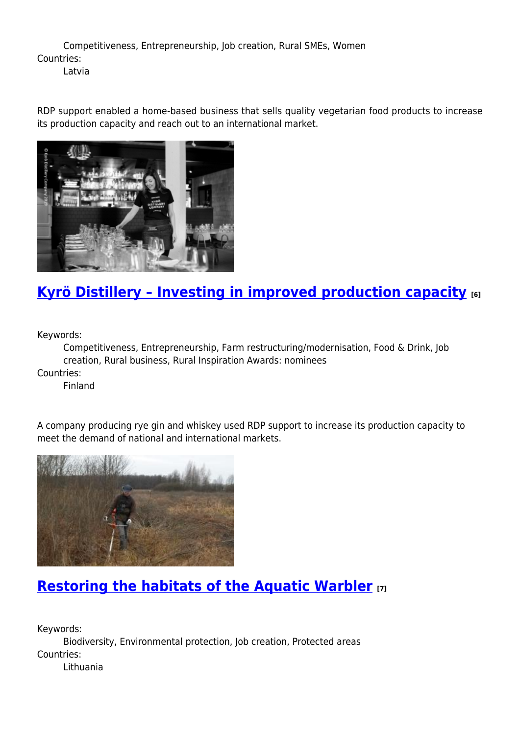Competitiveness, Entrepreneurship, Job creation, Rural SMEs, Women Countries: Latvia

RDP support enabled a home-based business that sells quality vegetarian food products to increase its production capacity and reach out to an international market.



# **[Kyrö Distillery – Investing in improved production capacity](https://enrd.ec.europa.eu/projects-practice/kyro-distillery-investing-improved-production-capacity_en) [6]**

Keywords:

Competitiveness, Entrepreneurship, Farm restructuring/modernisation, Food & Drink, Job creation, Rural business, Rural Inspiration Awards: nominees Countries:

Finland

A company producing rye gin and whiskey used RDP support to increase its production capacity to meet the demand of national and international markets.



## **[Restoring the habitats of the Aquatic Warbler](https://enrd.ec.europa.eu/projects-practice/restoring-habitats-aquatic-warbler_en) [7]**

Keywords: Biodiversity, Environmental protection, Job creation, Protected areas Countries: Lithuania